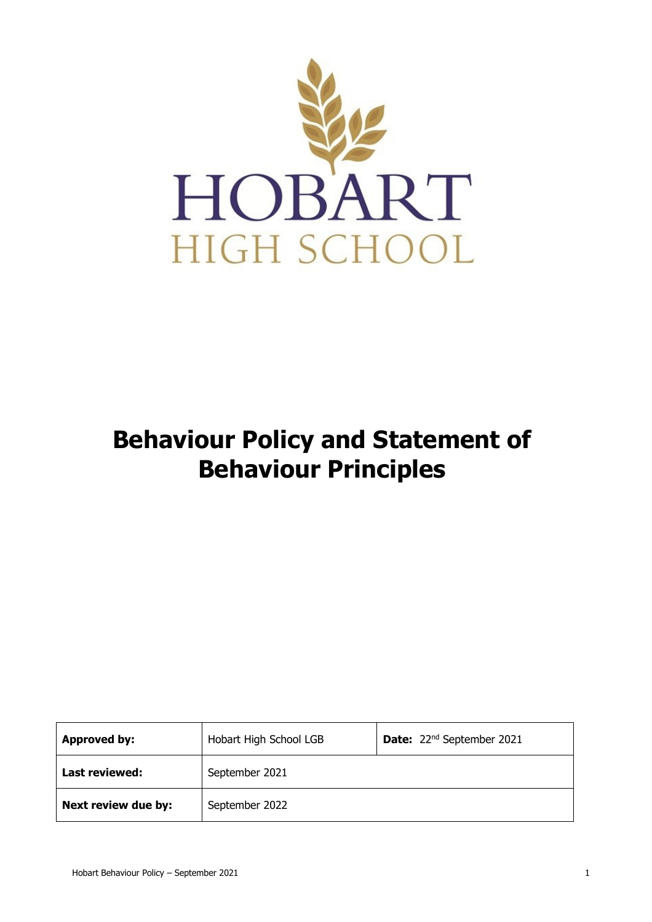

# **Behaviour Policy and Statement of Behaviour Principles**

| <b>Approved by:</b> | Hobart High School LGB | Date: 22 <sup>nd</sup> September 2021 |
|---------------------|------------------------|---------------------------------------|
| Last reviewed:      | September 2021         |                                       |
| Next review due by: | September 2022         |                                       |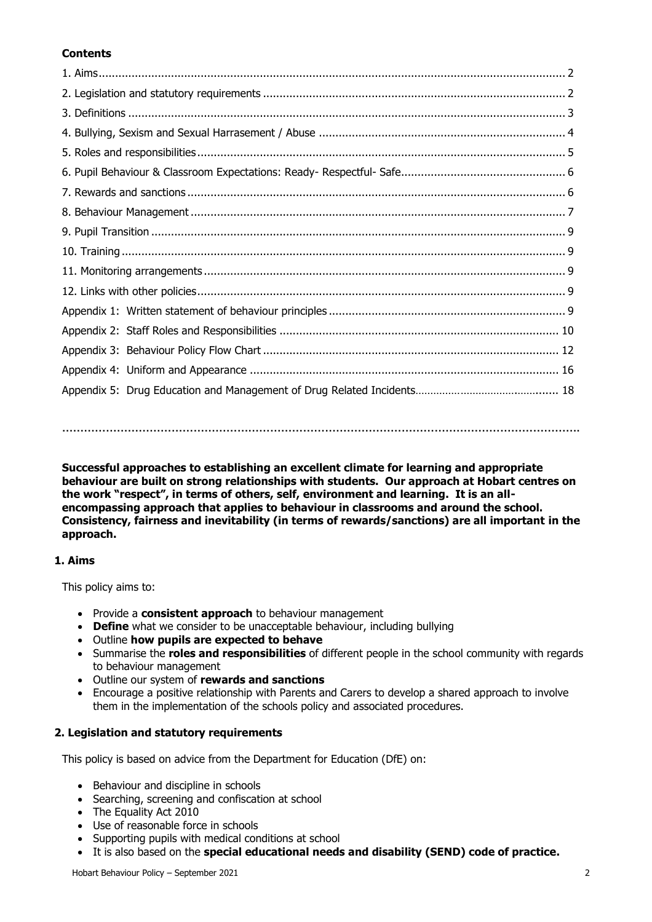# **Contents**

**…………………………………………………………………………………………………………………………….**

**Successful approaches to establishing an excellent climate for learning and appropriate behaviour are built on strong relationships with students. Our approach at Hobart centres on the work "respect", in terms of others, self, environment and learning. It is an allencompassing approach that applies to behaviour in classrooms and around the school. Consistency, fairness and inevitability (in terms of rewards/sanctions) are all important in the approach.**

# **1. Aims**

This policy aims to:

- Provide a **consistent approach** to behaviour management
- **Define** what we consider to be unacceptable behaviour, including bullying
- Outline **how pupils are expected to behave**
- Summarise the **roles and responsibilities** of different people in the school community with regards to behaviour management
- Outline our system of **rewards and sanctions**
- Encourage a positive relationship with Parents and Carers to develop a shared approach to involve them in the implementation of the schools policy and associated procedures.

# **2. Legislation and statutory requirements**

This policy is based on advice from the Department for Education (DfE) on:

- [Behaviour and discipline in schools](https://www.gov.uk/government/publications/behaviour-and-discipline-in-schools)
- [Searching, screening and confiscation at school](https://www.gov.uk/government/publications/searching-screening-and-confiscation)
- [The Equality Act 2010](https://www.gov.uk/government/publications/equality-act-2010-advice-for-schools)
- [Use of reasonable force in schools](https://www.gov.uk/government/publications/use-of-reasonable-force-in-schools)
- Supporting pupils with medical conditions at school
- It is also based on the **[special educational needs and disability \(SEND\) code of practice.](https://www.gov.uk/government/publications/send-code-of-practice-0-to-25)**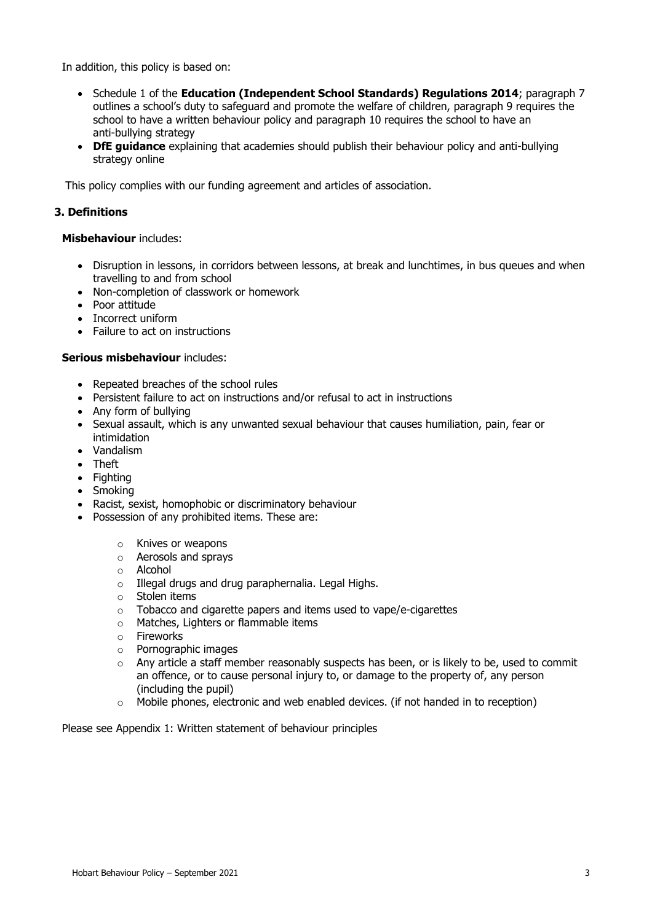In addition, this policy is based on:

- Schedule 1 of the **[Education \(Independent School Standards\) Regulations 2014](http://www.legislation.gov.uk/uksi/2014/3283/schedule/made)**; paragraph 7 outlines a school's duty to safeguard and promote the welfare of children, paragraph 9 requires the school to have a written behaviour policy and paragraph 10 requires the school to have an anti-bullying strategy
- **[DfE guidance](https://www.gov.uk/guidance/what-academies-free-schools-and-colleges-should-publish-online)** explaining that academies should publish their behaviour policy and anti-bullying strategy online

This policy complies with our funding agreement and articles of association.

# **3. Definitions**

# **Misbehaviour** includes:

- Disruption in lessons, in corridors between lessons, at break and lunchtimes, in bus queues and when travelling to and from school
- Non-completion of classwork or homework
- Poor attitude
- Incorrect uniform
- Failure to act on instructions

#### **Serious misbehaviour** includes:

- Repeated breaches of the school rules
- Persistent failure to act on instructions and/or refusal to act in instructions
- Any form of bullying
- Sexual assault, which is any unwanted sexual behaviour that causes humiliation, pain, fear or intimidation
- Vandalism
- Theft
- Fightina
- Smoking
- Racist, sexist, homophobic or discriminatory behaviour
- Possession of any prohibited items. These are:
	- o Knives or weapons
	- o Aerosols and sprays
	- o Alcohol
	- o Illegal drugs and drug paraphernalia. Legal Highs.
	- o Stolen items
	- o Tobacco and cigarette papers and items used to vape/e-cigarettes
	- o Matches, Lighters or flammable items
	- o Fireworks
	- o Pornographic images
	- $\circ$  Any article a staff member reasonably suspects has been, or is likely to be, used to commit an offence, or to cause personal injury to, or damage to the property of, any person (including the pupil)
	- $\circ$  Mobile phones, electronic and web enabled devices. (if not handed in to reception)

Please see Appendix 1: Written statement of behaviour principles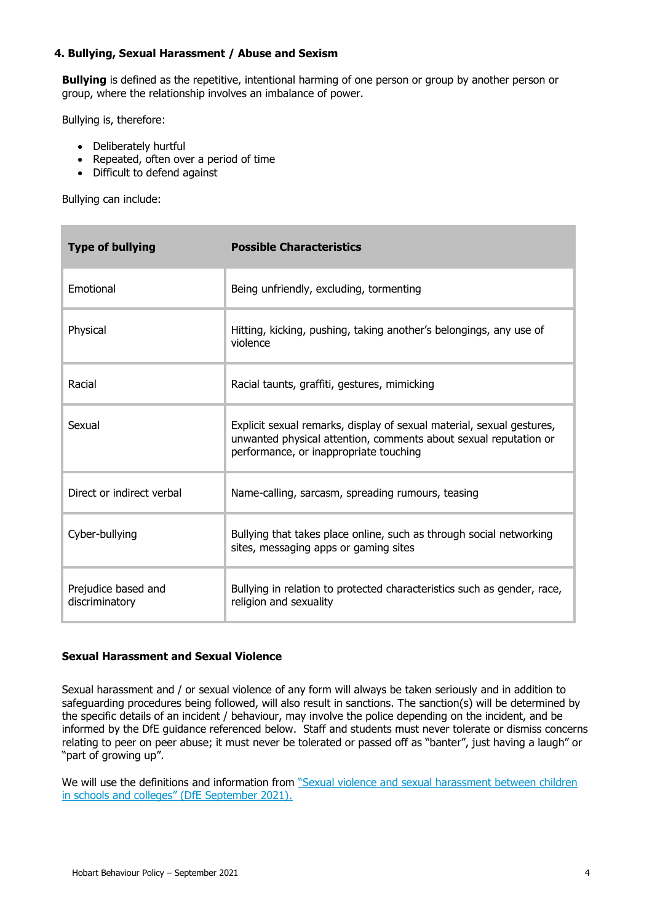# **4. Bullying, Sexual Harassment / Abuse and Sexism**

**Bullying** is defined as the repetitive, intentional harming of one person or group by another person or group, where the relationship involves an imbalance of power.

Bullying is, therefore:

- Deliberately hurtful
- Repeated, often over a period of time
- Difficult to defend against

Bullying can include:

| <b>Type of bullying</b>               | <b>Possible Characteristics</b>                                                                                                                                                     |
|---------------------------------------|-------------------------------------------------------------------------------------------------------------------------------------------------------------------------------------|
| Emotional                             | Being unfriendly, excluding, tormenting                                                                                                                                             |
| Physical                              | Hitting, kicking, pushing, taking another's belongings, any use of<br>violence                                                                                                      |
| Racial                                | Racial taunts, graffiti, gestures, mimicking                                                                                                                                        |
| Sexual                                | Explicit sexual remarks, display of sexual material, sexual gestures,<br>unwanted physical attention, comments about sexual reputation or<br>performance, or inappropriate touching |
| Direct or indirect verbal             | Name-calling, sarcasm, spreading rumours, teasing                                                                                                                                   |
| Cyber-bullying                        | Bullying that takes place online, such as through social networking<br>sites, messaging apps or gaming sites                                                                        |
| Prejudice based and<br>discriminatory | Bullying in relation to protected characteristics such as gender, race,<br>religion and sexuality                                                                                   |

# **Sexual Harassment and Sexual Violence**

Sexual harassment and / or sexual violence of any form will always be taken seriously and in addition to safeguarding procedures being followed, will also result in sanctions. The sanction(s) will be determined by the specific details of an incident / behaviour, may involve the police depending on the incident, and be informed by the DfE guidance referenced below. Staff and students must never tolerate or dismiss concerns relating to peer on peer abuse; it must never be tolerated or passed off as "banter", just having a laugh" or "part of growing up".

We will use the definitions and information from ["Sexual violence and sexual harassment between children](https://assets.publishing.service.gov.uk/government/uploads/system/uploads/attachment_data/file/1014224/Sexual_violence_and_sexual_harassment_between_children_in_schools_and_colleges.pdf) [in schools and colleges" \(DfE September 2021\)](https://assets.publishing.service.gov.uk/government/uploads/system/uploads/attachment_data/file/1014224/Sexual_violence_and_sexual_harassment_between_children_in_schools_and_colleges.pdf).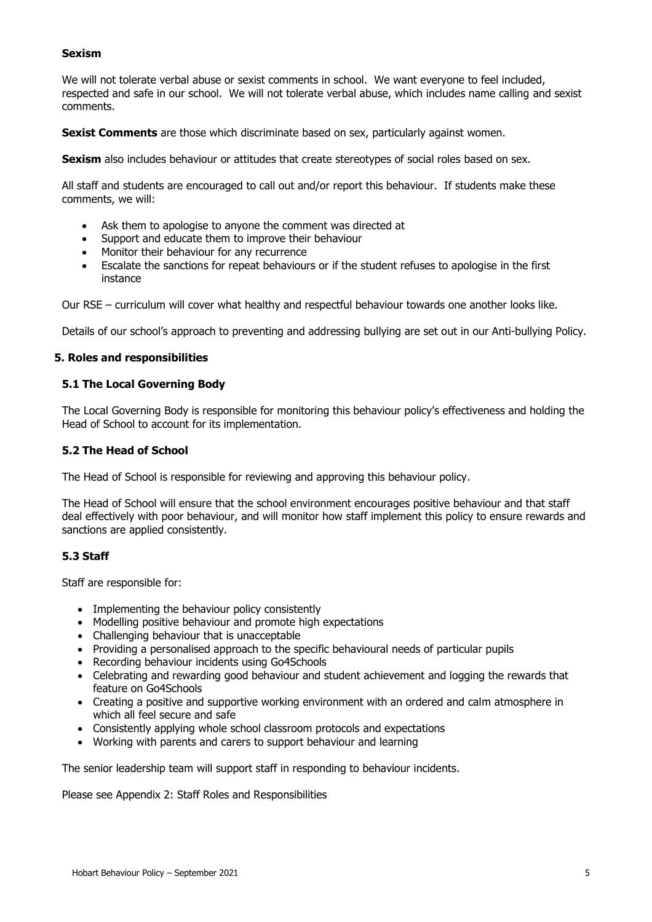# **Sexism**

We will not tolerate verbal abuse or sexist comments in school. We want everyone to feel included, respected and safe in our school. We will not tolerate verbal abuse, which includes name calling and sexist comments.

**Sexist Comments** are those which discriminate based on sex, particularly against women.

**Sexism** also includes behaviour or attitudes that create stereotypes of social roles based on sex.

All staff and students are encouraged to call out and/or report this behaviour. If students make these comments, we will:

- Ask them to apologise to anyone the comment was directed at
- Support and educate them to improve their behaviour
- Monitor their behaviour for any recurrence
- Escalate the sanctions for repeat behaviours or if the student refuses to apologise in the first instance

Our RSE – curriculum will cover what healthy and respectful behaviour towards one another looks like.

Details of our school's approach to preventing and addressing bullying are set out in our Anti-bullying Policy.

#### **5. Roles and responsibilities**

#### **5.1 The Local Governing Body**

The Local Governing Body is responsible for monitoring this behaviour policy's effectiveness and holding the Head of School to account for its implementation.

# **5.2 The Head of School**

The Head of School is responsible for reviewing and approving this behaviour policy.

The Head of School will ensure that the school environment encourages positive behaviour and that staff deal effectively with poor behaviour, and will monitor how staff implement this policy to ensure rewards and sanctions are applied consistently.

# **5.3 Staff**

Staff are responsible for:

- Implementing the behaviour policy consistently
- Modelling positive behaviour and promote high expectations
- Challenging behaviour that is unacceptable
- Providing a personalised approach to the specific behavioural needs of particular pupils
- Recording behaviour incidents using Go4Schools
- Celebrating and rewarding good behaviour and student achievement and logging the rewards that feature on Go4Schools
- Creating a positive and supportive working environment with an ordered and calm atmosphere in which all feel secure and safe
- Consistently applying whole school classroom protocols and expectations
- Working with parents and carers to support behaviour and learning

The senior leadership team will support staff in responding to behaviour incidents.

Please see Appendix 2: Staff Roles and Responsibilities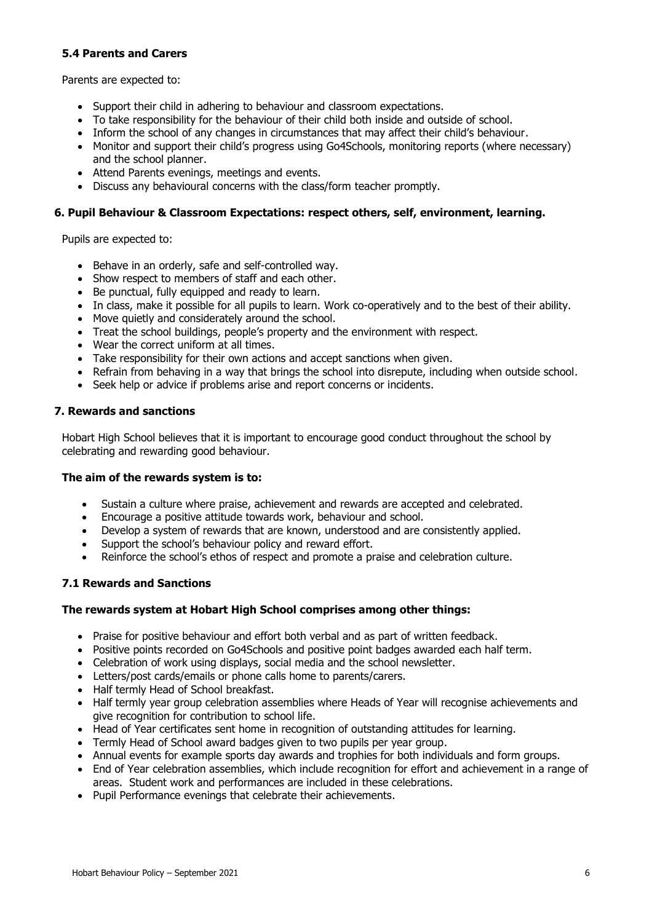# **5.4 Parents and Carers**

Parents are expected to:

- Support their child in adhering to behaviour and classroom expectations.
- To take responsibility for the behaviour of their child both inside and outside of school.
- Inform the school of any changes in circumstances that may affect their child's behaviour.
- Monitor and support their child's progress using Go4Schools, monitoring reports (where necessary) and the school planner.
- Attend Parents evenings, meetings and events.
- Discuss any behavioural concerns with the class/form teacher promptly.

# **6. Pupil Behaviour & Classroom Expectations: respect others, self, environment, learning.**

Pupils are expected to:

- Behave in an orderly, safe and self-controlled way.
- Show respect to members of staff and each other.
- Be punctual, fully equipped and ready to learn.
- In class, make it possible for all pupils to learn. Work co-operatively and to the best of their ability.
- Move quietly and considerately around the school.
- Treat the school buildings, people's property and the environment with respect.
- Wear the correct uniform at all times.
- Take responsibility for their own actions and accept sanctions when given.
- Refrain from behaving in a way that brings the school into disrepute, including when outside school.
- Seek help or advice if problems arise and report concerns or incidents.

# **7. Rewards and sanctions**

Hobart High School believes that it is important to encourage good conduct throughout the school by celebrating and rewarding good behaviour.

# **The aim of the rewards system is to:**

- Sustain a culture where praise, achievement and rewards are accepted and celebrated.
- Encourage a positive attitude towards work, behaviour and school.
- Develop a system of rewards that are known, understood and are consistently applied.
- Support the school's behaviour policy and reward effort.
- Reinforce the school's ethos of respect and promote a praise and celebration culture.

# **7.1 Rewards and Sanctions**

# **The rewards system at Hobart High School comprises among other things:**

- Praise for positive behaviour and effort both verbal and as part of written feedback.
- Positive points recorded on Go4Schools and positive point badges awarded each half term.
- Celebration of work using displays, social media and the school newsletter.
- Letters/post cards/emails or phone calls home to parents/carers.
- Half termly Head of School breakfast.
- Half termly year group celebration assemblies where Heads of Year will recognise achievements and give recognition for contribution to school life.
- Head of Year certificates sent home in recognition of outstanding attitudes for learning.
- Termly Head of School award badges given to two pupils per year group.
- Annual events for example sports day awards and trophies for both individuals and form groups.
- End of Year celebration assemblies, which include recognition for effort and achievement in a range of areas. Student work and performances are included in these celebrations.
- Pupil Performance evenings that celebrate their achievements.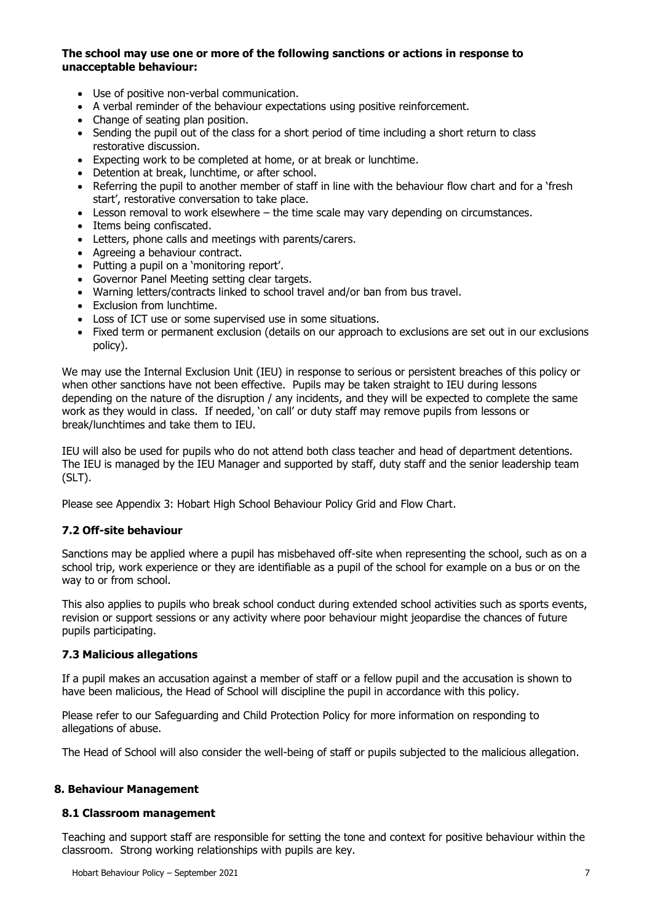# **The school may use one or more of the following sanctions or actions in response to unacceptable behaviour:**

- Use of positive non-verbal communication.
- A verbal reminder of the behaviour expectations using positive reinforcement.
- Change of seating plan position.
- Sending the pupil out of the class for a short period of time including a short return to class restorative discussion.
- Expecting work to be completed at home, or at break or lunchtime.
- Detention at break, lunchtime, or after school.
- Referring the pupil to another member of staff in line with the behaviour flow chart and for a 'fresh start', restorative conversation to take place.
- Lesson removal to work elsewhere the time scale may vary depending on circumstances.
- Items being confiscated.
- Letters, phone calls and meetings with parents/carers.
- Agreeing a behaviour contract.
- Putting a pupil on a 'monitoring report'.
- Governor Panel Meeting setting clear targets.
- Warning letters/contracts linked to school travel and/or ban from bus travel.
- Exclusion from lunchtime.
- Loss of ICT use or some supervised use in some situations.
- Fixed term or permanent exclusion (details on our approach to exclusions are set out in our exclusions policy).

We may use the Internal Exclusion Unit (IEU) in response to serious or persistent breaches of this policy or when other sanctions have not been effective. Pupils may be taken straight to IEU during lessons depending on the nature of the disruption / any incidents, and they will be expected to complete the same work as they would in class. If needed, 'on call' or duty staff may remove pupils from lessons or break/lunchtimes and take them to IEU.

IEU will also be used for pupils who do not attend both class teacher and head of department detentions. The IEU is managed by the IEU Manager and supported by staff, duty staff and the senior leadership team (SLT).

Please see Appendix 3: Hobart High School Behaviour Policy Grid and Flow Chart.

#### **7.2 Off-site behaviour**

Sanctions may be applied where a pupil has misbehaved off-site when representing the school, such as on a school trip, work experience or they are identifiable as a pupil of the school for example on a bus or on the way to or from school.

This also applies to pupils who break school conduct during extended school activities such as sports events, revision or support sessions or any activity where poor behaviour might jeopardise the chances of future pupils participating.

#### **7.3 Malicious allegations**

If a pupil makes an accusation against a member of staff or a fellow pupil and the accusation is shown to have been malicious, the Head of School will discipline the pupil in accordance with this policy.

Please refer to our Safeguarding and Child Protection Policy for more information on responding to allegations of abuse.

The Head of School will also consider the well-being of staff or pupils subjected to the malicious allegation.

#### **8. Behaviour Management**

#### **8.1 Classroom management**

Teaching and support staff are responsible for setting the tone and context for positive behaviour within the classroom. Strong working relationships with pupils are key.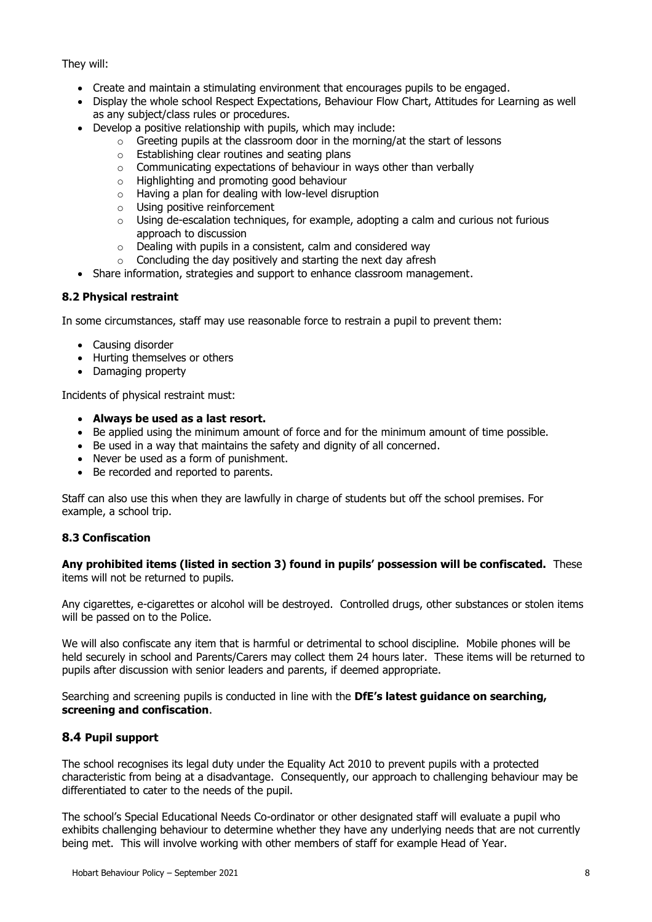# They will:

- Create and maintain a stimulating environment that encourages pupils to be engaged.
- Display the whole school Respect Expectations, Behaviour Flow Chart, Attitudes for Learning as well as any subject/class rules or procedures.
- Develop a positive relationship with pupils, which may include:
	- $\circ$  Greeting pupils at the classroom door in the morning/at the start of lessons
	- o Establishing clear routines and seating plans
	- o Communicating expectations of behaviour in ways other than verbally
	- o Highlighting and promoting good behaviour
	- o Having a plan for dealing with low-level disruption
	- o Using positive reinforcement
	- $\circ$  Using de-escalation techniques, for example, adopting a calm and curious not furious approach to discussion
	- $\circ$  Dealing with pupils in a consistent, calm and considered way
	- $\circ$  Concluding the day positively and starting the next day afresh
- Share information, strategies and support to enhance classroom management.

# **8.2 Physical restraint**

In some circumstances, staff may use reasonable force to restrain a pupil to prevent them:

- Causing disorder
- Hurting themselves or others
- Damaging property

Incidents of physical restraint must:

- **Always be used as a last resort.**
- Be applied using the minimum amount of force and for the minimum amount of time possible.
- Be used in a way that maintains the safety and dignity of all concerned.
- Never be used as a form of punishment.
- Be recorded and reported to parents.

Staff can also use this when they are lawfully in charge of students but off the school premises. For example, a school trip.

# **8.3 Confiscation**

**Any prohibited items (listed in section 3) found in pupils' possession will be confiscated.** These items will not be returned to pupils.

Any cigarettes, e-cigarettes or alcohol will be destroyed. Controlled drugs, other substances or stolen items will be passed on to the Police.

We will also confiscate any item that is harmful or detrimental to school discipline. Mobile phones will be held securely in school and Parents/Carers may collect them 24 hours later. These items will be returned to pupils after discussion with senior leaders and parents, if deemed appropriate.

Searching and screening pupils is conducted in line with the **DfE's [latest guidance on searching,](https://www.gov.uk/government/publications/searching-screening-and-confiscation)  [screening and confiscation](https://www.gov.uk/government/publications/searching-screening-and-confiscation)**.

# **8.4 Pupil support**

The school recognises its legal duty under the Equality Act 2010 to prevent pupils with a protected characteristic from being at a disadvantage. Consequently, our approach to challenging behaviour may be differentiated to cater to the needs of the pupil.

The school's Special Educational Needs Co-ordinator or other designated staff will evaluate a pupil who exhibits challenging behaviour to determine whether they have any underlying needs that are not currently being met. This will involve working with other members of staff for example Head of Year.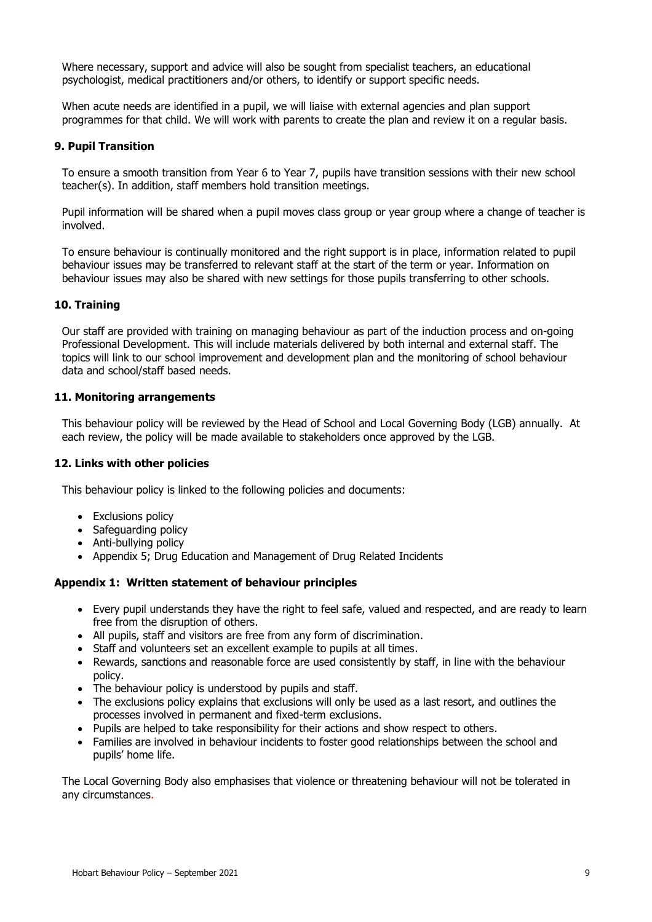Where necessary, support and advice will also be sought from specialist teachers, an educational psychologist, medical practitioners and/or others, to identify or support specific needs.

When acute needs are identified in a pupil, we will liaise with external agencies and plan support programmes for that child. We will work with parents to create the plan and review it on a regular basis.

#### **9. Pupil Transition**

To ensure a smooth transition from Year 6 to Year 7, pupils have transition sessions with their new school teacher(s). In addition, staff members hold transition meetings.

Pupil information will be shared when a pupil moves class group or year group where a change of teacher is involved.

To ensure behaviour is continually monitored and the right support is in place, information related to pupil behaviour issues may be transferred to relevant staff at the start of the term or year. Information on behaviour issues may also be shared with new settings for those pupils transferring to other schools.

#### **10. Training**

Our staff are provided with training on managing behaviour as part of the induction process and on-going Professional Development. This will include materials delivered by both internal and external staff. The topics will link to our school improvement and development plan and the monitoring of school behaviour data and school/staff based needs.

#### **11. Monitoring arrangements**

This behaviour policy will be reviewed by the Head of School and Local Governing Body (LGB) annually. At each review, the policy will be made available to stakeholders once approved by the LGB.

#### **12. Links with other policies**

This behaviour policy is linked to the following policies and documents:

- Exclusions policy
- Safeguarding policy
- Anti-bullying policy
- Appendix 5; Drug Education and Management of Drug Related Incidents

# **Appendix 1: Written statement of behaviour principles**

- Every pupil understands they have the right to feel safe, valued and respected, and are ready to learn free from the disruption of others.
- All pupils, staff and visitors are free from any form of discrimination.
- Staff and volunteers set an excellent example to pupils at all times.
- Rewards, sanctions and reasonable force are used consistently by staff, in line with the behaviour policy.
- The behaviour policy is understood by pupils and staff.
- The exclusions policy explains that exclusions will only be used as a last resort, and outlines the processes involved in permanent and fixed-term exclusions.
- Pupils are helped to take responsibility for their actions and show respect to others.
- Families are involved in behaviour incidents to foster good relationships between the school and pupils' home life.

The Local Governing Body also emphasises that violence or threatening behaviour will not be tolerated in any circumstances.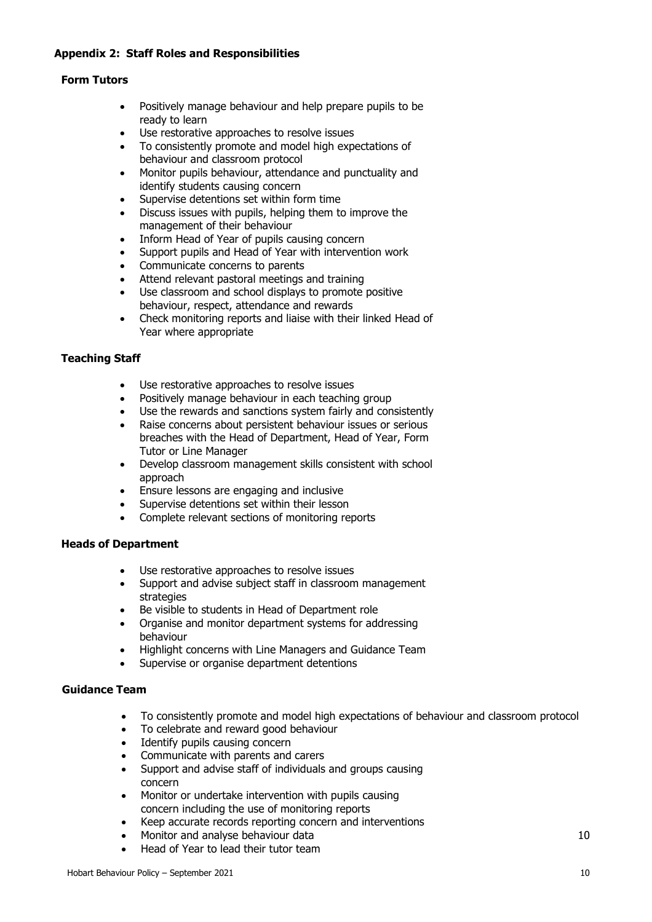# **Appendix 2: Staff Roles and Responsibilities**

# **Form Tutors**

- Positively manage behaviour and help prepare pupils to be ready to learn
- Use restorative approaches to resolve issues
- To consistently promote and model high expectations of behaviour and classroom protocol
- Monitor pupils behaviour, attendance and punctuality and identify students causing concern
- Supervise detentions set within form time
- Discuss issues with pupils, helping them to improve the management of their behaviour
- Inform Head of Year of pupils causing concern
- Support pupils and Head of Year with intervention work
- Communicate concerns to parents
- Attend relevant pastoral meetings and training
- Use classroom and school displays to promote positive behaviour, respect, attendance and rewards
- Check monitoring reports and liaise with their linked Head of Year where appropriate

# **Teaching Staff**

- Use restorative approaches to resolve issues
- Positively manage behaviour in each teaching group
- Use the rewards and sanctions system fairly and consistently
- Raise concerns about persistent behaviour issues or serious breaches with the Head of Department, Head of Year, Form Tutor or Line Manager
- Develop classroom management skills consistent with school approach
- Ensure lessons are engaging and inclusive
- Supervise detentions set within their lesson
- Complete relevant sections of monitoring reports

# **Heads of Department**

- Use restorative approaches to resolve issues
- Support and advise subject staff in classroom management strategies
- Be visible to students in Head of Department role
- Organise and monitor department systems for addressing behaviour
- Highlight concerns with Line Managers and Guidance Team
- Supervise or organise department detentions

# **Guidance Team**

- To consistently promote and model high expectations of behaviour and classroom protocol
- To celebrate and reward good behaviour
- Identify pupils causing concern
- Communicate with parents and carers
- Support and advise staff of individuals and groups causing concern
- Monitor or undertake intervention with pupils causing concern including the use of monitoring reports
- Keep accurate records reporting concern and interventions
- Monitor and analyse behaviour data 10
- Head of Year to lead their tutor team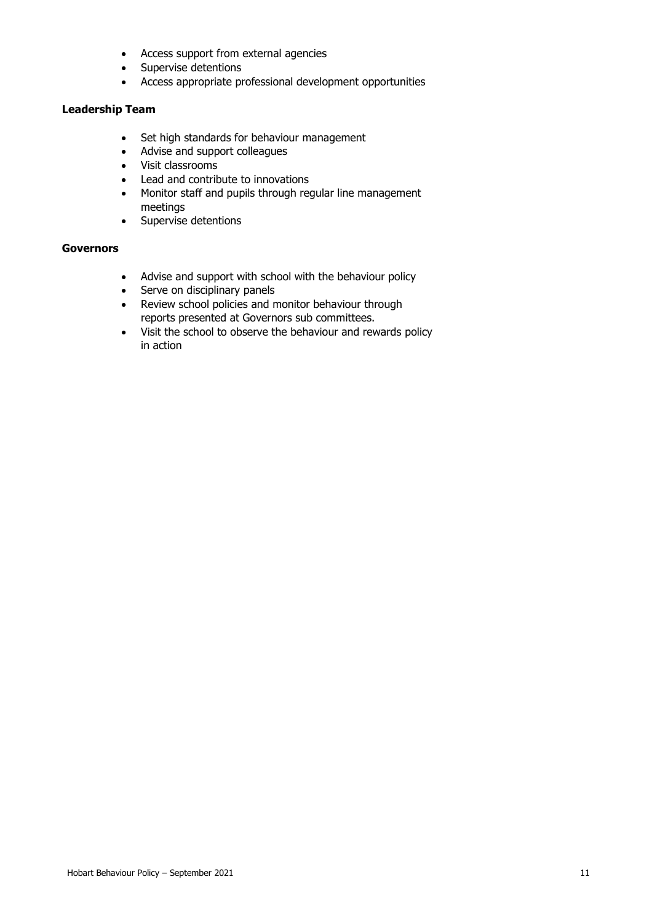- Access support from external agencies
- Supervise detentions
- Access appropriate professional development opportunities

# **Leadership Team**

- Set high standards for behaviour management
- Advise and support colleagues
- Visit classrooms
- Lead and contribute to innovations
- Monitor staff and pupils through regular line management meetings
- Supervise detentions

# **Governors**

- Advise and support with school with the behaviour policy
- Serve on disciplinary panels
- Review school policies and monitor behaviour through reports presented at Governors sub committees.
- Visit the school to observe the behaviour and rewards policy in action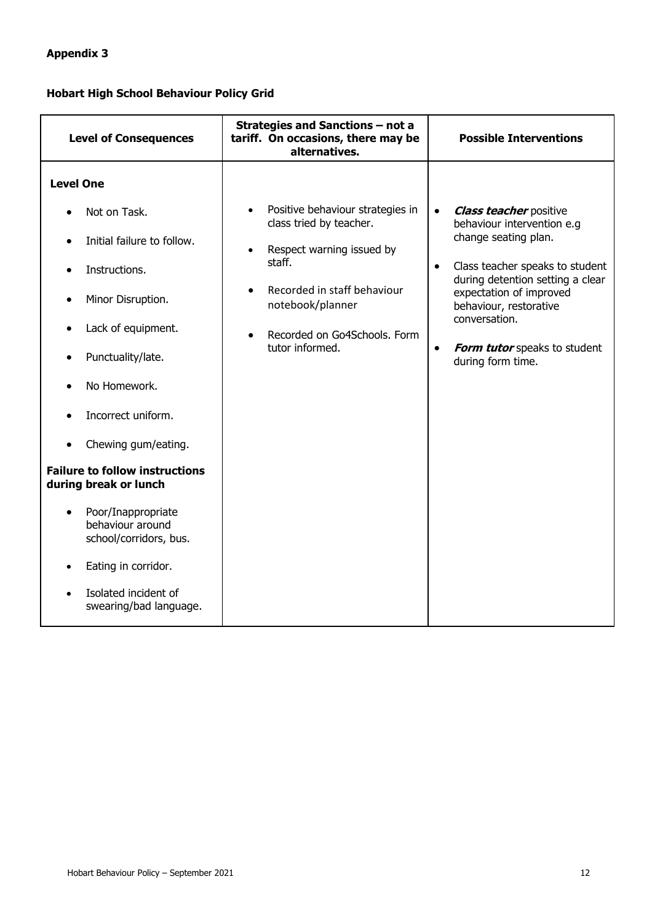# **Appendix 3**

# **Hobart High School Behaviour Policy Grid**

| <b>Level of Consequences</b>                                                                                                                                                                                                                                                                                                                                                                                   | <b>Strategies and Sanctions - not a</b><br>tariff. On occasions, there may be<br>alternatives.                                                                                                                                     | <b>Possible Interventions</b>                                                                                                                                                                                                                                                                                                |
|----------------------------------------------------------------------------------------------------------------------------------------------------------------------------------------------------------------------------------------------------------------------------------------------------------------------------------------------------------------------------------------------------------------|------------------------------------------------------------------------------------------------------------------------------------------------------------------------------------------------------------------------------------|------------------------------------------------------------------------------------------------------------------------------------------------------------------------------------------------------------------------------------------------------------------------------------------------------------------------------|
| <b>Level One</b><br>Not on Task.<br>Initial failure to follow.<br>$\bullet$<br>Instructions.<br>Minor Disruption.<br>Lack of equipment.<br>Punctuality/late.<br>No Homework.<br>Incorrect uniform.<br>Chewing gum/eating.<br><b>Failure to follow instructions</b><br>during break or lunch<br>Poor/Inappropriate<br>behaviour around<br>school/corridors, bus.<br>Eating in corridor.<br>Isolated incident of | Positive behaviour strategies in<br>class tried by teacher.<br>Respect warning issued by<br>$\bullet$<br>staff.<br>Recorded in staff behaviour<br>notebook/planner<br>Recorded on Go4Schools, Form<br>$\bullet$<br>tutor informed. | <b>Class teacher positive</b><br>$\bullet$<br>behaviour intervention e.g<br>change seating plan.<br>Class teacher speaks to student<br>$\bullet$<br>during detention setting a clear<br>expectation of improved<br>behaviour, restorative<br>conversation.<br>Form tutor speaks to student<br>$\bullet$<br>during form time. |
| swearing/bad language.                                                                                                                                                                                                                                                                                                                                                                                         |                                                                                                                                                                                                                                    |                                                                                                                                                                                                                                                                                                                              |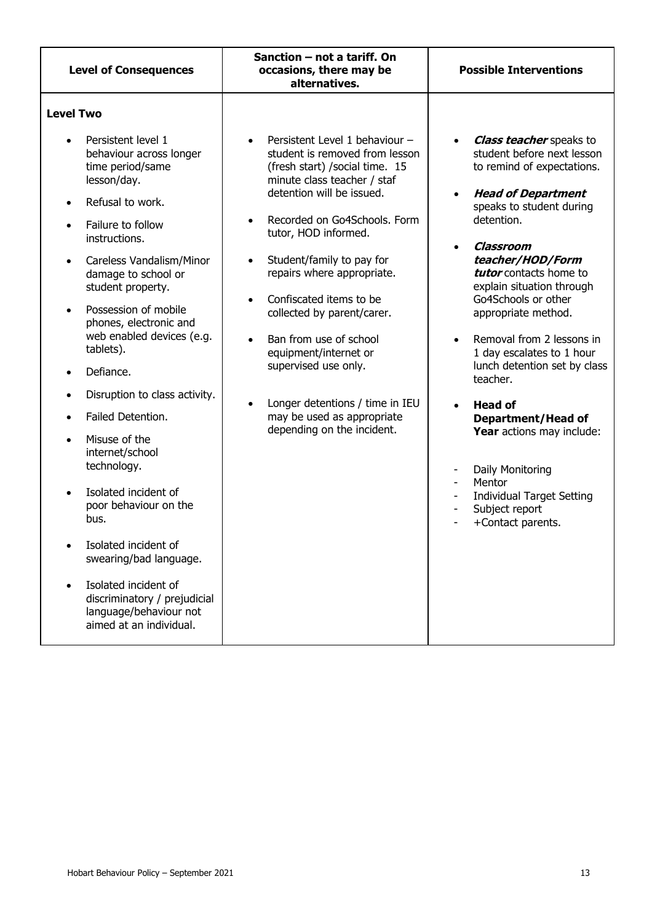| <b>Level of Consequences</b>                                                                                                                                                                                                                                                                                                                                                                                                                                                                                                                                                                                                                                                       | Sanction – not a tariff. On<br>occasions, there may be<br>alternatives.                                                                                                                                                                                                                                                                                                                                        | <b>Possible Interventions</b>                                                                                                                                                                                                                                                                                                                                                                                                                                                                        |
|------------------------------------------------------------------------------------------------------------------------------------------------------------------------------------------------------------------------------------------------------------------------------------------------------------------------------------------------------------------------------------------------------------------------------------------------------------------------------------------------------------------------------------------------------------------------------------------------------------------------------------------------------------------------------------|----------------------------------------------------------------------------------------------------------------------------------------------------------------------------------------------------------------------------------------------------------------------------------------------------------------------------------------------------------------------------------------------------------------|------------------------------------------------------------------------------------------------------------------------------------------------------------------------------------------------------------------------------------------------------------------------------------------------------------------------------------------------------------------------------------------------------------------------------------------------------------------------------------------------------|
| <b>Level Two</b><br>Persistent level 1<br>$\bullet$<br>behaviour across longer<br>time period/same                                                                                                                                                                                                                                                                                                                                                                                                                                                                                                                                                                                 | Persistent Level 1 behaviour -<br>student is removed from lesson<br>(fresh start) / social time. 15                                                                                                                                                                                                                                                                                                            | <b>Class teacher</b> speaks to<br>student before next lesson<br>to remind of expectations.                                                                                                                                                                                                                                                                                                                                                                                                           |
| lesson/day.<br>Refusal to work.<br>$\bullet$<br>Failure to follow<br>$\bullet$<br>instructions.<br>Careless Vandalism/Minor<br>damage to school or<br>student property.<br>Possession of mobile<br>$\bullet$<br>phones, electronic and<br>web enabled devices (e.g.<br>tablets).<br>Defiance.<br>Disruption to class activity.<br>$\bullet$<br>Failed Detention.<br>$\bullet$<br>Misuse of the<br>$\bullet$<br>internet/school<br>technology.<br>Isolated incident of<br>$\bullet$<br>poor behaviour on the<br>bus.<br>Isolated incident of<br>swearing/bad language.<br>Isolated incident of<br>discriminatory / prejudicial<br>language/behaviour not<br>aimed at an individual. | minute class teacher / staf<br>detention will be issued.<br>Recorded on Go4Schools. Form<br>tutor, HOD informed.<br>Student/family to pay for<br>repairs where appropriate.<br>Confiscated items to be<br>collected by parent/carer.<br>Ban from use of school<br>equipment/internet or<br>supervised use only.<br>Longer detentions / time in IEU<br>may be used as appropriate<br>depending on the incident. | <b>Head of Department</b><br>speaks to student during<br>detention.<br>Classroom<br>teacher/HOD/Form<br>tutor contacts home to<br>explain situation through<br>Go4Schools or other<br>appropriate method.<br>Removal from 2 lessons in<br>1 day escalates to 1 hour<br>lunch detention set by class<br>teacher.<br><b>Head of</b><br><b>Department/Head of</b><br>Year actions may include:<br>Daily Monitoring<br>Mentor<br><b>Individual Target Setting</b><br>Subject report<br>+Contact parents. |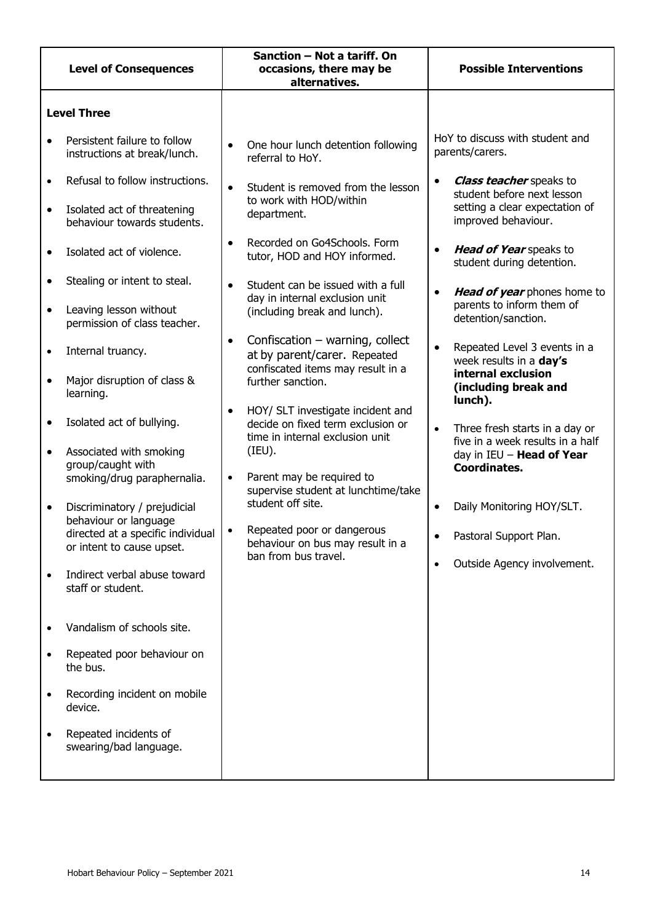|                                                                                         | <b>Level of Consequences</b>                                                                                                                                                                                                                                                                                                                                                                                                                                                                                                                                                      | Sanction - Not a tariff. On<br>occasions, there may be<br>alternatives.                                                                                                                                                                                                                                                                                                                                                                                                                                                                                                                                                                                                                                                | <b>Possible Interventions</b>                                                                                                                                                                                                                                                                                                                                                                                                                                                                                                                                                                                                                                                                  |
|-----------------------------------------------------------------------------------------|-----------------------------------------------------------------------------------------------------------------------------------------------------------------------------------------------------------------------------------------------------------------------------------------------------------------------------------------------------------------------------------------------------------------------------------------------------------------------------------------------------------------------------------------------------------------------------------|------------------------------------------------------------------------------------------------------------------------------------------------------------------------------------------------------------------------------------------------------------------------------------------------------------------------------------------------------------------------------------------------------------------------------------------------------------------------------------------------------------------------------------------------------------------------------------------------------------------------------------------------------------------------------------------------------------------------|------------------------------------------------------------------------------------------------------------------------------------------------------------------------------------------------------------------------------------------------------------------------------------------------------------------------------------------------------------------------------------------------------------------------------------------------------------------------------------------------------------------------------------------------------------------------------------------------------------------------------------------------------------------------------------------------|
|                                                                                         | <b>Level Three</b>                                                                                                                                                                                                                                                                                                                                                                                                                                                                                                                                                                |                                                                                                                                                                                                                                                                                                                                                                                                                                                                                                                                                                                                                                                                                                                        |                                                                                                                                                                                                                                                                                                                                                                                                                                                                                                                                                                                                                                                                                                |
|                                                                                         | Persistent failure to follow<br>instructions at break/lunch.                                                                                                                                                                                                                                                                                                                                                                                                                                                                                                                      | One hour lunch detention following<br>referral to HoY.                                                                                                                                                                                                                                                                                                                                                                                                                                                                                                                                                                                                                                                                 | HoY to discuss with student and<br>parents/carers.                                                                                                                                                                                                                                                                                                                                                                                                                                                                                                                                                                                                                                             |
| $\bullet$<br>$\bullet$<br>$\bullet$<br>$\bullet$<br>$\bullet$<br>$\bullet$<br>$\bullet$ | Refusal to follow instructions.<br>Isolated act of threatening<br>behaviour towards students.<br>Isolated act of violence.<br>Stealing or intent to steal.<br>Leaving lesson without<br>permission of class teacher.<br>Internal truancy.<br>Major disruption of class &<br>learning.<br>Isolated act of bullying.<br>Associated with smoking<br>group/caught with<br>smoking/drug paraphernalia.<br>Discriminatory / prejudicial<br>behaviour or language<br>directed at a specific individual<br>or intent to cause upset.<br>Indirect verbal abuse toward<br>staff or student. | Student is removed from the lesson<br>to work with HOD/within<br>department.<br>Recorded on Go4Schools. Form<br>tutor, HOD and HOY informed.<br>Student can be issued with a full<br>day in internal exclusion unit<br>(including break and lunch).<br>Confiscation $-$ warning, collect<br>$\bullet$<br>at by parent/carer. Repeated<br>confiscated items may result in a<br>further sanction.<br>HOY/ SLT investigate incident and<br>decide on fixed term exclusion or<br>time in internal exclusion unit<br>(IEU).<br>Parent may be required to<br>$\bullet$<br>supervise student at lunchtime/take<br>student off site.<br>Repeated poor or dangerous<br>behaviour on bus may result in a<br>ban from bus travel. | <b>Class teacher</b> speaks to<br>$\bullet$<br>student before next lesson<br>setting a clear expectation of<br>improved behaviour.<br>Head of Year speaks to<br>$\bullet$<br>student during detention.<br>Head of year phones home to<br>$\bullet$<br>parents to inform them of<br>detention/sanction.<br>Repeated Level 3 events in a<br>$\bullet$<br>week results in a day's<br>internal exclusion<br>(including break and<br>lunch).<br>Three fresh starts in a day or<br>$\bullet$<br>five in a week results in a half<br>day in IEU - Head of Year<br><b>Coordinates.</b><br>Daily Monitoring HOY/SLT.<br>$\bullet$<br>Pastoral Support Plan.<br>Outside Agency involvement.<br>$\bullet$ |
|                                                                                         | Vandalism of schools site.                                                                                                                                                                                                                                                                                                                                                                                                                                                                                                                                                        |                                                                                                                                                                                                                                                                                                                                                                                                                                                                                                                                                                                                                                                                                                                        |                                                                                                                                                                                                                                                                                                                                                                                                                                                                                                                                                                                                                                                                                                |
| $\bullet$                                                                               | Repeated poor behaviour on<br>the bus.                                                                                                                                                                                                                                                                                                                                                                                                                                                                                                                                            |                                                                                                                                                                                                                                                                                                                                                                                                                                                                                                                                                                                                                                                                                                                        |                                                                                                                                                                                                                                                                                                                                                                                                                                                                                                                                                                                                                                                                                                |
| $\bullet$                                                                               | Recording incident on mobile<br>device.                                                                                                                                                                                                                                                                                                                                                                                                                                                                                                                                           |                                                                                                                                                                                                                                                                                                                                                                                                                                                                                                                                                                                                                                                                                                                        |                                                                                                                                                                                                                                                                                                                                                                                                                                                                                                                                                                                                                                                                                                |
|                                                                                         | Repeated incidents of<br>swearing/bad language.                                                                                                                                                                                                                                                                                                                                                                                                                                                                                                                                   |                                                                                                                                                                                                                                                                                                                                                                                                                                                                                                                                                                                                                                                                                                                        |                                                                                                                                                                                                                                                                                                                                                                                                                                                                                                                                                                                                                                                                                                |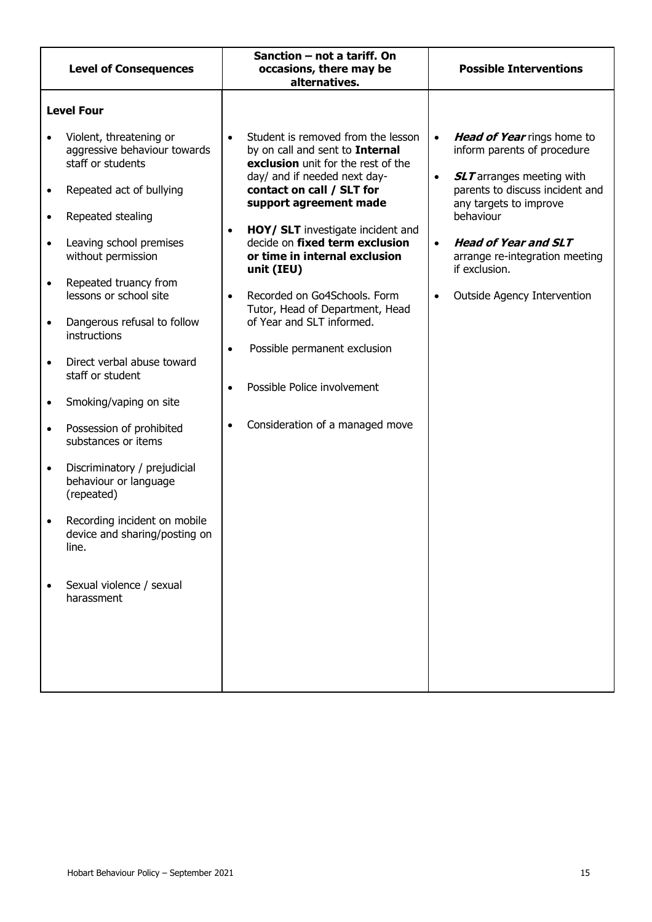|                                                                            | <b>Level of Consequences</b>                                                                                                                                                                                                                                                                                                                            | Sanction - not a tariff. On<br>occasions, there may be<br>alternatives.                                                                                                                                                                                                                                                                                                                                                                                                                                                                                  | <b>Possible Interventions</b>                                                                                                                                                                                                                                                                                                                |
|----------------------------------------------------------------------------|---------------------------------------------------------------------------------------------------------------------------------------------------------------------------------------------------------------------------------------------------------------------------------------------------------------------------------------------------------|----------------------------------------------------------------------------------------------------------------------------------------------------------------------------------------------------------------------------------------------------------------------------------------------------------------------------------------------------------------------------------------------------------------------------------------------------------------------------------------------------------------------------------------------------------|----------------------------------------------------------------------------------------------------------------------------------------------------------------------------------------------------------------------------------------------------------------------------------------------------------------------------------------------|
| $\bullet$<br>$\bullet$<br>$\bullet$<br>$\bullet$<br>$\bullet$<br>$\bullet$ | <b>Level Four</b><br>Violent, threatening or<br>aggressive behaviour towards<br>staff or students<br>Repeated act of bullying<br>Repeated stealing<br>Leaving school premises<br>without permission<br>Repeated truancy from<br>lessons or school site<br>Dangerous refusal to follow<br>instructions<br>Direct verbal abuse toward<br>staff or student | Student is removed from the lesson<br>$\bullet$<br>by on call and sent to Internal<br>exclusion unit for the rest of the<br>day/ and if needed next day-<br>contact on call / SLT for<br>support agreement made<br>HOY/ SLT investigate incident and<br>$\bullet$<br>decide on fixed term exclusion<br>or time in internal exclusion<br>unit (IEU)<br>Recorded on Go4Schools. Form<br>$\bullet$<br>Tutor, Head of Department, Head<br>of Year and SLT informed.<br>Possible permanent exclusion<br>$\bullet$<br>Possible Police involvement<br>$\bullet$ | Head of Year rings home to<br>$\bullet$<br>inform parents of procedure<br><b>SLT</b> arranges meeting with<br>$\bullet$<br>parents to discuss incident and<br>any targets to improve<br>behaviour<br><b>Head of Year and SLT</b><br>$\bullet$<br>arrange re-integration meeting<br>if exclusion.<br>Outside Agency Intervention<br>$\bullet$ |
| $\bullet$<br>$\bullet$<br>$\bullet$<br>$\bullet$                           | Smoking/vaping on site<br>Possession of prohibited<br>substances or items<br>Discriminatory / prejudicial<br>behaviour or language<br>(repeated)<br>Recording incident on mobile                                                                                                                                                                        | Consideration of a managed move<br>$\bullet$                                                                                                                                                                                                                                                                                                                                                                                                                                                                                                             |                                                                                                                                                                                                                                                                                                                                              |
|                                                                            | device and sharing/posting on<br>line.<br>Sexual violence / sexual<br>harassment                                                                                                                                                                                                                                                                        |                                                                                                                                                                                                                                                                                                                                                                                                                                                                                                                                                          |                                                                                                                                                                                                                                                                                                                                              |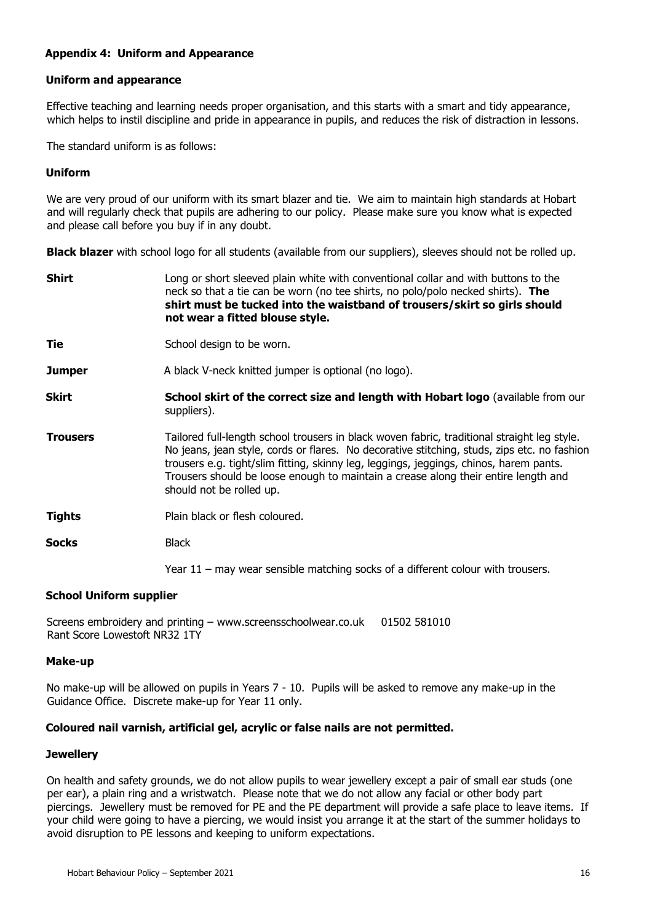# **Appendix 4: Uniform and Appearance**

#### **Uniform and appearance**

Effective teaching and learning needs proper organisation, and this starts with a smart and tidy appearance, which helps to instil discipline and pride in appearance in pupils, and reduces the risk of distraction in lessons.

The standard uniform is as follows:

#### **Uniform**

We are very proud of our uniform with its smart blazer and tie. We aim to maintain high standards at Hobart and will regularly check that pupils are adhering to our policy. Please make sure you know what is expected and please call before you buy if in any doubt.

**Black blazer** with school logo for all students (available from our suppliers), sleeves should not be rolled up.

| <b>Shirt</b>    | Long or short sleeved plain white with conventional collar and with buttons to the<br>neck so that a tie can be worn (no tee shirts, no polo/polo necked shirts). The<br>shirt must be tucked into the waistband of trousers/skirt so girls should<br>not wear a fitted blouse style.                                                                                                                  |
|-----------------|--------------------------------------------------------------------------------------------------------------------------------------------------------------------------------------------------------------------------------------------------------------------------------------------------------------------------------------------------------------------------------------------------------|
| Tie             | School design to be worn.                                                                                                                                                                                                                                                                                                                                                                              |
| <b>Jumper</b>   | A black V-neck knitted jumper is optional (no logo).                                                                                                                                                                                                                                                                                                                                                   |
| <b>Skirt</b>    | School skirt of the correct size and length with Hobart logo (available from our<br>suppliers).                                                                                                                                                                                                                                                                                                        |
| <b>Trousers</b> | Tailored full-length school trousers in black woven fabric, traditional straight leg style.<br>No jeans, jean style, cords or flares. No decorative stitching, studs, zips etc. no fashion<br>trousers e.g. tight/slim fitting, skinny leg, leggings, jeggings, chinos, harem pants.<br>Trousers should be loose enough to maintain a crease along their entire length and<br>should not be rolled up. |
| <b>Tights</b>   | Plain black or flesh coloured.                                                                                                                                                                                                                                                                                                                                                                         |
| <b>Socks</b>    | <b>Black</b>                                                                                                                                                                                                                                                                                                                                                                                           |
|                 | Year 11 – may wear sensible matching socks of a different colour with trousers.                                                                                                                                                                                                                                                                                                                        |

# **School Uniform supplier**

Screens embroidery and printing – www.screensschoolwear.co.uk 01502 581010 Rant Score Lowestoft NR32 1TY

#### **Make-up**

No make-up will be allowed on pupils in Years 7 - 10. Pupils will be asked to remove any make-up in the Guidance Office. Discrete make-up for Year 11 only.

# **Coloured nail varnish, artificial gel, acrylic or false nails are not permitted.**

# **Jewellery**

On health and safety grounds, we do not allow pupils to wear jewellery except a pair of small ear studs (one per ear), a plain ring and a wristwatch. Please note that we do not allow any facial or other body part piercings. Jewellery must be removed for PE and the PE department will provide a safe place to leave items. If your child were going to have a piercing, we would insist you arrange it at the start of the summer holidays to avoid disruption to PE lessons and keeping to uniform expectations.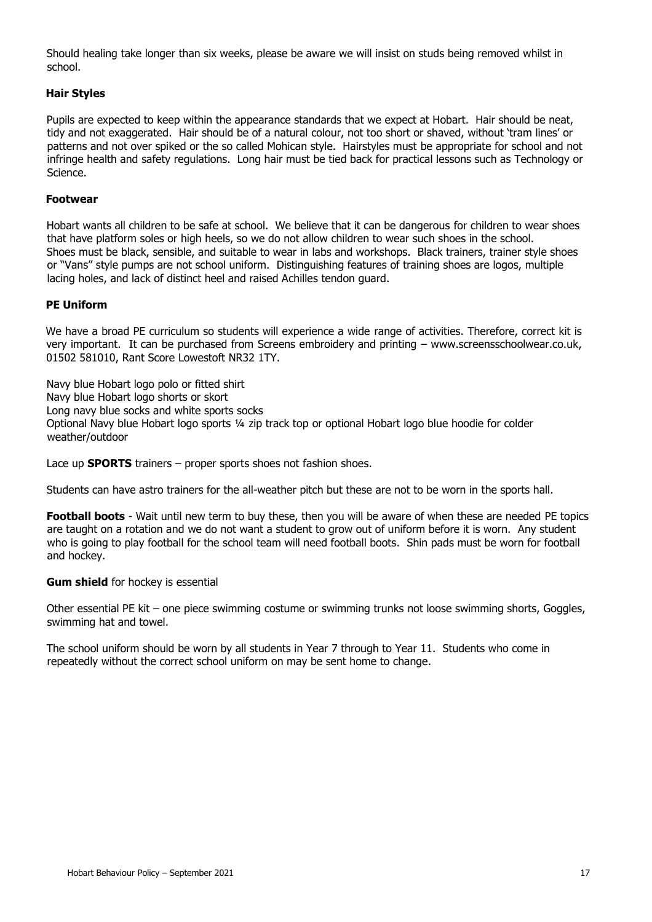Should healing take longer than six weeks, please be aware we will insist on studs being removed whilst in school.

# **Hair Styles**

Pupils are expected to keep within the appearance standards that we expect at Hobart. Hair should be neat, tidy and not exaggerated. Hair should be of a natural colour, not too short or shaved, without 'tram lines' or patterns and not over spiked or the so called Mohican style. Hairstyles must be appropriate for school and not infringe health and safety regulations. Long hair must be tied back for practical lessons such as Technology or Science.

# **Footwear**

Hobart wants all children to be safe at school. We believe that it can be dangerous for children to wear shoes that have platform soles or high heels, so we do not allow children to wear such shoes in the school. Shoes must be black, sensible, and suitable to wear in labs and workshops. Black trainers, trainer style shoes or "Vans" style pumps are not school uniform. Distinguishing features of training shoes are logos, multiple lacing holes, and lack of distinct heel and raised Achilles tendon guard.

#### **PE Uniform**

We have a broad PE curriculum so students will experience a wide range of activities. Therefore, correct kit is very important. It can be purchased from Screens embroidery and printing – www.screensschoolwear.co.uk, 01502 581010, Rant Score Lowestoft NR32 1TY.

Navy blue Hobart logo polo or fitted shirt Navy blue Hobart logo shorts or skort Long navy blue socks and white sports socks Optional Navy blue Hobart logo sports ¼ zip track top or optional Hobart logo blue hoodie for colder weather/outdoor

Lace up **SPORTS** trainers – proper sports shoes not fashion shoes.

Students can have astro trainers for the all-weather pitch but these are not to be worn in the sports hall.

**Football boots** - Wait until new term to buy these, then you will be aware of when these are needed PE topics are taught on a rotation and we do not want a student to grow out of uniform before it is worn. Any student who is going to play football for the school team will need football boots. Shin pads must be worn for football and hockey.

#### **Gum shield** for hockey is essential

Other essential PE kit – one piece swimming costume or swimming trunks not loose swimming shorts, Goggles, swimming hat and towel.

The school uniform should be worn by all students in Year 7 through to Year 11. Students who come in repeatedly without the correct school uniform on may be sent home to change.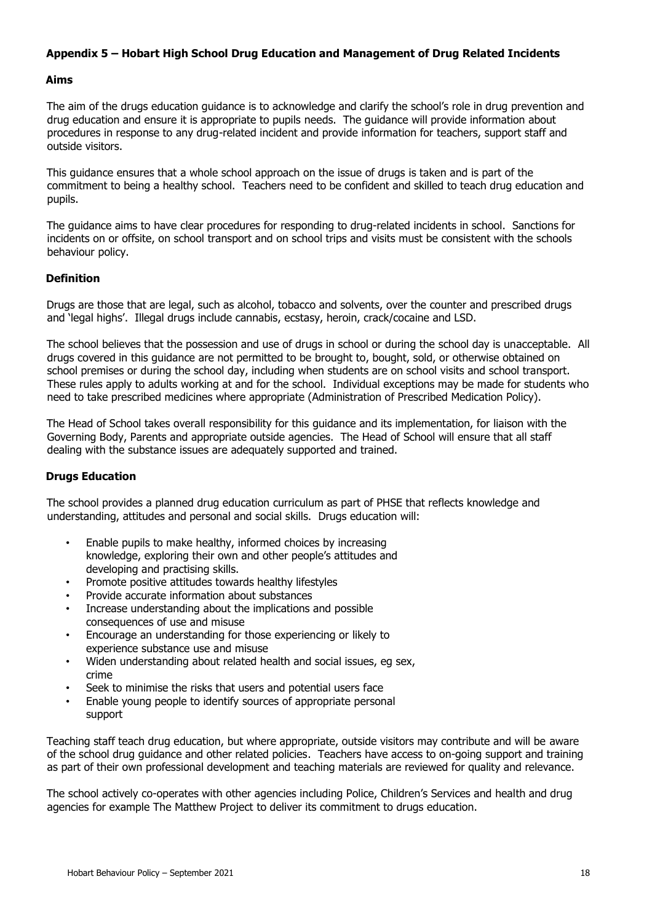# **Appendix 5 – Hobart High School Drug Education and Management of Drug Related Incidents**

#### **Aims**

The aim of the drugs education guidance is to acknowledge and clarify the school's role in drug prevention and drug education and ensure it is appropriate to pupils needs. The guidance will provide information about procedures in response to any drug-related incident and provide information for teachers, support staff and outside visitors.

This guidance ensures that a whole school approach on the issue of drugs is taken and is part of the commitment to being a healthy school. Teachers need to be confident and skilled to teach drug education and pupils.

The guidance aims to have clear procedures for responding to drug-related incidents in school. Sanctions for incidents on or offsite, on school transport and on school trips and visits must be consistent with the schools behaviour policy.

# **Definition**

Drugs are those that are legal, such as alcohol, tobacco and solvents, over the counter and prescribed drugs and 'legal highs'. Illegal drugs include cannabis, ecstasy, heroin, crack/cocaine and LSD.

The school believes that the possession and use of drugs in school or during the school day is unacceptable. All drugs covered in this guidance are not permitted to be brought to, bought, sold, or otherwise obtained on school premises or during the school day, including when students are on school visits and school transport. These rules apply to adults working at and for the school. Individual exceptions may be made for students who need to take prescribed medicines where appropriate (Administration of Prescribed Medication Policy).

The Head of School takes overall responsibility for this guidance and its implementation, for liaison with the Governing Body, Parents and appropriate outside agencies. The Head of School will ensure that all staff dealing with the substance issues are adequately supported and trained.

# **Drugs Education**

The school provides a planned drug education curriculum as part of PHSE that reflects knowledge and understanding, attitudes and personal and social skills. Drugs education will:

- Enable pupils to make healthy, informed choices by increasing knowledge, exploring their own and other people's attitudes and developing and practising skills.
- Promote positive attitudes towards healthy lifestyles
- Provide accurate information about substances
- Increase understanding about the implications and possible consequences of use and misuse
- Encourage an understanding for those experiencing or likely to experience substance use and misuse
- Widen understanding about related health and social issues, eg sex, crime
- Seek to minimise the risks that users and potential users face
- Enable young people to identify sources of appropriate personal support

Teaching staff teach drug education, but where appropriate, outside visitors may contribute and will be aware of the school drug guidance and other related policies. Teachers have access to on-going support and training as part of their own professional development and teaching materials are reviewed for quality and relevance.

The school actively co-operates with other agencies including Police, Children's Services and health and drug agencies for example The Matthew Project to deliver its commitment to drugs education.